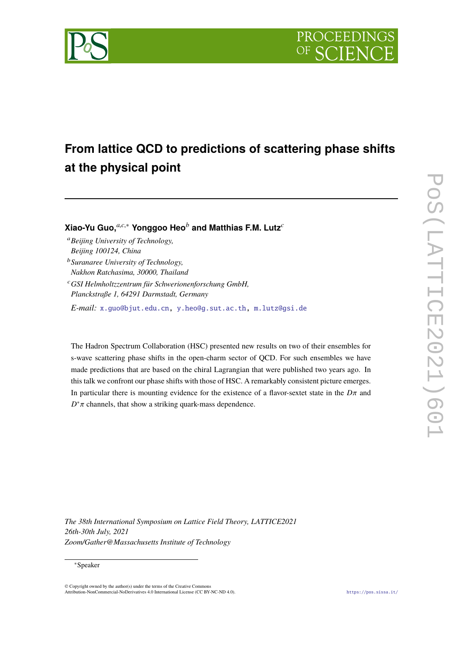



# **From lattice QCD to predictions of scattering phase shifts at the physical point**

**Xiao-Yu Guo,***a*,*c*,<sup>∗</sup> **Yonggoo Heo***<sup>b</sup>* **and Matthias F.M. Lutz***<sup>c</sup>*

- <sup>a</sup>*Beijing University of Technology,*
- *Beijing 100124, China*
- <sup>b</sup>*Suranaree University of Technology, Nakhon Ratchasima, 30000, Thailand*
- <sup>c</sup>*GSI Helmholtzzentrum für Schwerionenforschung GmbH, Planckstraße 1, 64291 Darmstadt, Germany*

*E-mail:* [x.guo@bjut.edu.cn](mailto:x.guo@bjut.edu.cn), [y.heo@g.sut.ac.th,](mailto:y.heo@g.sut.ac.th) [m.lutz@gsi.de](mailto:m.lutz@gsi.de)

The Hadron Spectrum Collaboration (HSC) presented new results on two of their ensembles for s-wave scattering phase shifts in the open-charm sector of QCD. For such ensembles we have made predictions that are based on the chiral Lagrangian that were published two years ago. In this talk we confront our phase shifts with those of HSC. A remarkably consistent picture emerges. In particular there is mounting evidence for the existence of a flavor-sextet state in the *D*π and  $D^*\pi$  channels, that show a striking quark-mass dependence.

*The 38th International Symposium on Lattice Field Theory, LATTICE2021 26th-30th July, 2021 Zoom/Gather@Massachusetts Institute of Technology*

#### ∗Speaker

© Copyright owned by the author(s) under the terms of the Creative Commons Attribution-NonCommercial-NoDerivatives 4.0 International License (CC BY-NC-ND 4.0). <https://pos.sissa.it/>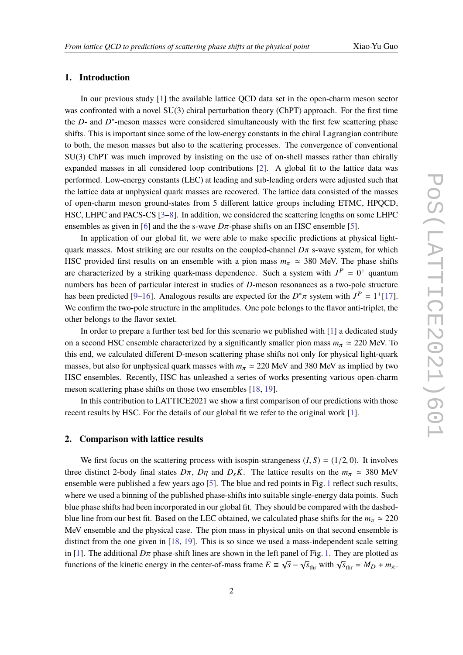### **1. Introduction**

In our previous study [\[1\]](#page-5-0) the available lattice QCD data set in the open-charm meson sector was confronted with a novel  $SU(3)$  chiral perturbation theory (ChPT) approach. For the first time the *D*- and *D*<sup>\*</sup>-meson masses were considered simultaneously with the first few scattering phase shifts. This is important since some of the low-energy constants in the chiral Lagrangian contribute to both, the meson masses but also to the scattering processes. The convergence of conventional SU(3) ChPT was much improved by insisting on the use of on-shell masses rather than chirally expanded masses in all considered loop contributions [\[2\]](#page-5-1). A global fit to the lattice data was performed. Low-energy constants (LEC) at leading and sub-leading orders were adjusted such that the lattice data at unphysical quark masses are recovered. The lattice data consisted of the masses of open-charm meson ground-states from 5 different lattice groups including ETMC, HPQCD, HSC, LHPC and PACS-CS [[3](#page-5-2)–[8](#page-5-3)]. In addition, we considered the scattering lengths on some LHPC ensembles as given in [[6](#page-5-4)] and the the s-wave  $D\pi$ -phase shifts on an HSC ensemble [\[5\]](#page-5-5).

In application of our global fit, we were able to make specific predictions at physical lightquark masses. Most striking are our results on the coupled-channel *D*π s-wave system, for which HSC provided first results on an ensemble with a pion mass  $m_\pi \approx 380$  MeV. The phase shifts are characterized by a striking quark-mass dependence. Such a system with  $J^P = 0^+$  quantum numbers has been of particular interest in studies of *D*-meson resonances as a two-pole structure has been predicted [[9](#page-5-6)–[16\]](#page-6-0). Analogous results are expected for the  $D^*\pi$  system with  $J^P = 1^+[17]$  $J^P = 1^+[17]$ . We confirm the two-pole structure in the amplitudes. One pole belongs to the flavor anti-triplet, the other belongs to the flavor sextet.

In order to prepare a further test bed for this scenario we published with [\[1\]](#page-5-0) a dedicated study on a second HSC ensemble characterized by a significantly smaller pion mass  $m_\pi \approx 220$  MeV. To this end, we calculated different D-meson scattering phase shifts not only for physical light-quark masses, but also for unphysical quark masses with  $m_\pi \approx 220$  MeV and 380 MeV as implied by two HSC ensembles. Recently, HSC has unleashed a series of works presenting various open-charm meson scattering phase shifts on those two ensembles [[18,](#page-6-2) [19](#page-6-3)].

In this contribution to LATTICE2021 we show a first comparison of our predictions with those recent results by HSC. For the details of our global fit we refer to the original work [\[1\]](#page-5-0).

## **2. Comparison with lattice results**

We first focus on the scattering process with isospin-strangeness  $(I, S) = (1/2, 0)$ . It involves three distinct 2-body final states  $D\pi$ ,  $D\eta$  and  $D_s\bar{K}$ . The lattice results on the  $m_\pi \approx 380$  MeV ensemble were published a few years ago [[5](#page-5-5)]. The blue and red points in Fig. [1](#page-2-0) reflect such results, where we used a binning of the published phase-shifts into suitable single-energy data points. Such blue phase shifts had been incorporated in our global fit. They should be compared with the dashedblue line from our best fit. Based on the LEC obtained, we calculated phase shifts for the  $m_{\pi} \approx 220$ MeV ensemble and the physical case. The pion mass in physical units on that second ensemble is distinct from the one given in [[18,](#page-6-2) [19](#page-6-3)]. This is so since we used a mass-independent scale setting in [[1](#page-5-0)]. The additional  $D\pi$  phase-shift lines are shown in the left panel of Fig. [1.](#page-2-0) They are plotted as functions of the kinetic energy in the center-of-mass frame  $E = \sqrt{s} - \sqrt{s_{\text{thr}}}\text{ with }\sqrt{s_{\text{thr}}} = M_D + m_{\pi}$ .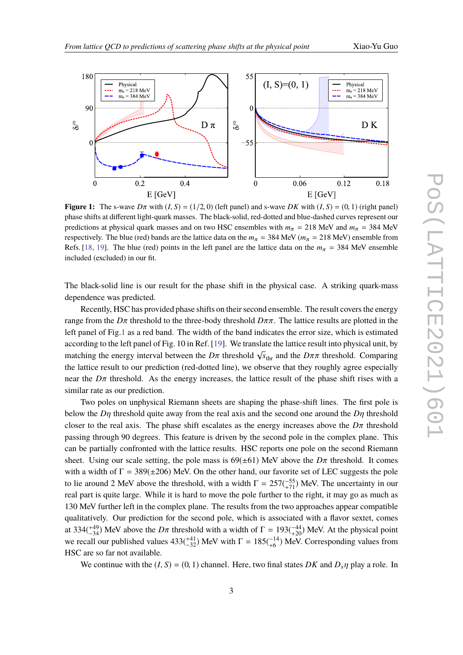<span id="page-2-0"></span>

**Figure 1:** The s-wave  $D\pi$  with  $(I, S) = (1/2, 0)$  (left panel) and s-wave  $DK$  with  $(I, S) = (0, 1)$  (right panel) phase shifts at different light-quark masses. The black-solid, red-dotted and blue-dashed curves represent our predictions at physical quark masses and on two HSC ensembles with  $m_{\pi} = 218$  MeV and  $m_{\pi} = 384$  MeV respectively. The blue (red) bands are the lattice data on the  $m_\pi = 384$  MeV ( $m_\pi = 218$  MeV) ensemble from Refs. [[18,](#page-6-2) [19](#page-6-3)]. The blue (red) points in the left panel are the lattice data on the  $m_{\pi}$  = 384 MeV ensemble included (excluded) in our fit.

The black-solid line is our result for the phase shift in the physical case. A striking quark-mass dependence was predicted.

Recently, HSC has provided phase shifts on their second ensemble. The result covers the energy range from the  $D\pi$  threshold to the three-body threshold  $D\pi\pi$ . The lattice results are plotted in the left panel of Fig.[1](#page-2-0) as a red band. The width of the band indicates the error size, which is estimated according to the left panel of Fig. 10 in Ref. [[19\]](#page-6-3). We translate the lattice result into physical unit, by matching the energy interval between the  $D\pi$  threshold  $\sqrt{s_{\text{thr}}}$  and the  $D\pi\pi$  threshold. Comparing the lattice result to our prediction (red-dotted line), we observe that they roughly agree especially near the  $D\pi$  threshold. As the energy increases, the lattice result of the phase shift rises with a similar rate as our prediction.

Two poles on unphysical Riemann sheets are shaping the phase-shift lines. The first pole is below the *D*η threshold quite away from the real axis and the second one around the *D*η threshold closer to the real axis. The phase shift escalates as the energy increases above the  $D\pi$  threshold passing through 90 degrees. This feature is driven by the second pole in the complex plane. This can be partially confronted with the lattice results. HSC reports one pole on the second Riemann sheet. Using our scale setting, the pole mass is  $69(\pm 61)$  MeV above the  $D\pi$  threshold. It comes with a width of  $\Gamma = 389(\pm 206)$  MeV. On the other hand, our favorite set of LEC suggests the pole to lie around 2 MeV above the threshold, with a width  $\Gamma = 257(^{-55}_{+71})$  MeV. The uncertainty in our real part is quite large. While it is hard to move the pole further to the right, it may go as much as 130 MeV further left in the complex plane. The results from the two approaches appear compatible qualitatively. Our prediction for the second pole, which is associated with a flavor sextet, comes at 334( $^{+49}_{-34}$ ) MeV above the *D* $\pi$  threshold with a width of  $\Gamma = 193(^{-44}_{+20})$  MeV. At the physical point we recall our published values  $433(^{+41}_{-32})$  MeV with  $\Gamma = 185(^{-14}_{+6})$  MeV. Corresponding values from HSC are so far not available.

We continue with the  $(I, S) = (0, 1)$  channel. Here, two final states *DK* and  $D_s \eta$  play a role. In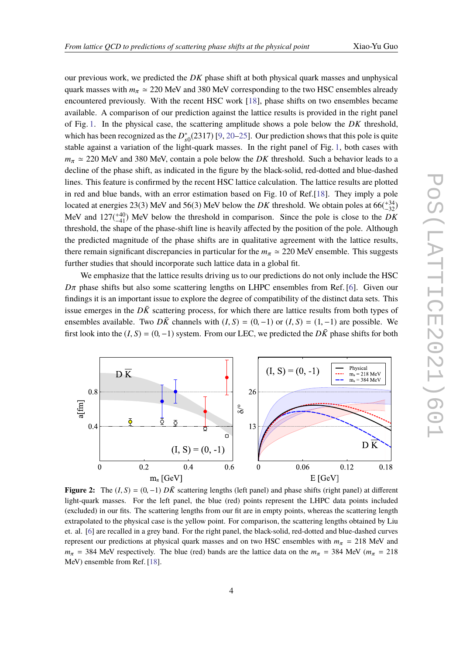our previous work, we predicted the *DK* phase shift at both physical quark masses and unphysical quark masses with  $m_{\pi} \simeq 220$  MeV and 380 MeV corresponding to the two HSC ensembles already encountered previously. With the recent HSC work [[18](#page-6-2)], phase shifts on two ensembles became available. A comparison of our prediction against the lattice results is provided in the right panel of Fig. [1.](#page-2-0) In the physical case, the scattering amplitude shows a pole below the *DK* threshold, which has been recognized as the  $D_{s0}^*(2317)$  [[9,](#page-5-6) [20](#page-6-4)[–25](#page-7-0)]. Our prediction shows that this pole is quite stable against a variation of the light-quark masses. In the right panel of Fig. [1,](#page-2-0) both cases with  $m_{\pi} \approx 220$  MeV and 380 MeV, contain a pole below the *DK* threshold. Such a behavior leads to a decline of the phase shift, as indicated in the figure by the black-solid, red-dotted and blue-dashed lines. This feature is confirmed by the recent HSC lattice calculation. The lattice results are plotted in red and blue bands, with an error estimation based on Fig. 10 of Ref.[\[18\]](#page-6-2). They imply a pole located at energies 23(3) MeV and 56(3) MeV below the *DK* threshold. We obtain poles at  $66(\frac{+34}{-32})$ MeV and  $127(^{+40}_{-41})$  MeV below the threshold in comparison. Since the pole is close to the *DK* threshold, the shape of the phase-shift line is heavily affected by the position of the pole. Although the predicted magnitude of the phase shifts are in qualitative agreement with the lattice results, there remain significant discrepancies in particular for the  $m_\pi \approx 220$  MeV ensemble. This suggests further studies that should incorporate such lattice data in a global fit.

We emphasize that the lattice results driving us to our predictions do not only include the HSC  $D\pi$  phase shifts but also some scattering lengths on LHPC ensembles from Ref. [[6](#page-5-4)]. Given our findings it is an important issue to explore the degree of compatibility of the distinct data sets. This issue emerges in the  $D\bar{K}$  scattering process, for which there are lattice results from both types of ensembles available. Two  $D\overline{K}$  channels with  $(I, S) = (0, -1)$  or  $(I, S) = (1, -1)$  are possible. We first look into the  $(I, S) = (0, -1)$  system. From our LEC, we predicted the  $D\overline{K}$  phase shifts for both

<span id="page-3-0"></span>

**Figure 2:** The  $(I, S) = (0, -1) D\overline{K}$  scattering lengths (left panel) and phase shifts (right panel) at different light-quark masses. For the left panel, the blue (red) points represent the LHPC data points included (excluded) in our fits. The scattering lengths from our fit are in empty points, whereas the scattering length extrapolated to the physical case is the yellow point. For comparison, the scattering lengths obtained by Liu et. al. [\[6](#page-5-4)] are recalled in a grey band. For the right panel, the black-solid, red-dotted and blue-dashed curves represent our predictions at physical quark masses and on two HSC ensembles with  $m_\pi$  = 218 MeV and  $m_{\pi}$  = 384 MeV respectively. The blue (red) bands are the lattice data on the  $m_{\pi}$  = 384 MeV ( $m_{\pi}$  = 218 MeV) ensemble from Ref. [\[18](#page-6-2)].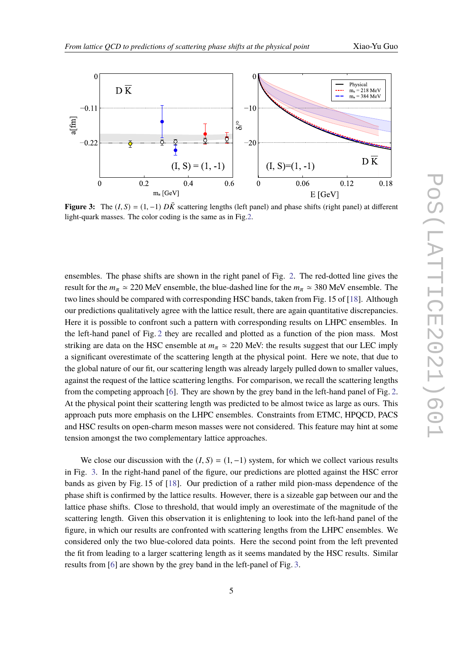<span id="page-4-0"></span>

**Figure 3:** The  $(I, S) = (1, -1) D\overline{K}$  scattering lengths (left panel) and phase shifts (right panel) at different light-quark masses. The color coding is the same as in Fig[.2](#page-3-0).

ensembles. The phase shifts are shown in the right panel of Fig. [2.](#page-3-0) The red-dotted line gives the result for the  $m_\pi \simeq 220$  MeV ensemble, the blue-dashed line for the  $m_\pi \simeq 380$  MeV ensemble. The two lines should be compared with corresponding HSC bands, taken from Fig. 15 of [[18\]](#page-6-2). Although our predictions qualitatively agree with the lattice result, there are again quantitative discrepancies. Here it is possible to confront such a pattern with corresponding results on LHPC ensembles. In the left-hand panel of Fig. [2](#page-3-0) they are recalled and plotted as a function of the pion mass. Most striking are data on the HSC ensemble at  $m<sub>\pi</sub> \approx 220$  MeV: the results suggest that our LEC imply a significant overestimate of the scattering length at the physical point. Here we note, that due to the global nature of our fit, our scattering length was already largely pulled down to smaller values, against the request of the lattice scattering lengths. For comparison, we recall the scattering lengths from the competing approach [\[6\]](#page-5-4). They are shown by the grey band in the left-hand panel of Fig. [2](#page-3-0). At the physical point their scattering length was predicted to be almost twice as large as ours. This approach puts more emphasis on the LHPC ensembles. Constraints from ETMC, HPQCD, PACS and HSC results on open-charm meson masses were not considered. This feature may hint at some tension amongst the two complementary lattice approaches.

We close our discussion with the  $(I, S) = (1, -1)$  system, for which we collect various results in Fig. [3](#page-4-0). In the right-hand panel of the figure, our predictions are plotted against the HSC error bands as given by Fig. 15 of [\[18](#page-6-2)]. Our prediction of a rather mild pion-mass dependence of the phase shift is confirmed by the lattice results. However, there is a sizeable gap between our and the lattice phase shifts. Close to threshold, that would imply an overestimate of the magnitude of the scattering length. Given this observation it is enlightening to look into the left-hand panel of the figure, in which our results are confronted with scattering lengths from the LHPC ensembles. We considered only the two blue-colored data points. Here the second point from the left prevented the fit from leading to a larger scattering length as it seems mandated by the HSC results. Similar results from [\[6\]](#page-5-4) are shown by the grey band in the left-panel of Fig. [3](#page-4-0).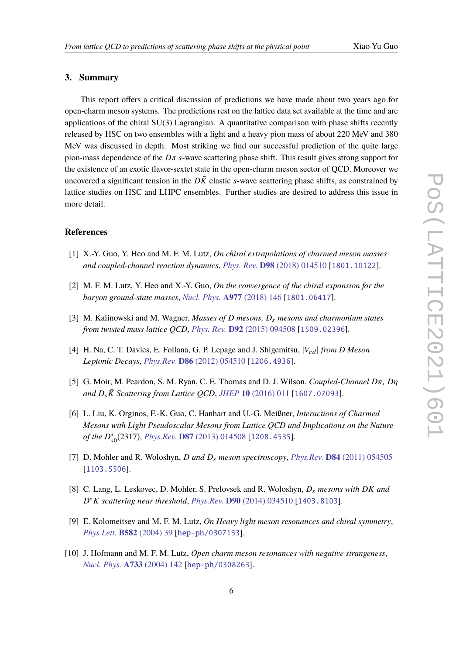## **3. Summary**

This report offers a critical discussion of predictions we have made about two years ago for open-charm meson systems. The predictions rest on the lattice data set available at the time and are applications of the chiral SU(3) Lagrangian. A quantitative comparison with phase shifts recently released by HSC on two ensembles with a light and a heavy pion mass of about 220 MeV and 380 MeV was discussed in depth. Most striking we find our successful prediction of the quite large pion-mass dependence of the *D*π *s*-wave scattering phase shift. This result gives strong support for the existence of an exotic flavor-sextet state in the open-charm meson sector of QCD. Moreover we uncovered a significant tension in the  $D\bar{K}$  elastic *s*-wave scattering phase shifts, as constrained by lattice studies on HSC and LHPC ensembles. Further studies are desired to address this issue in more detail.

#### **References**

- <span id="page-5-0"></span>[1] X.-Y. Guo, Y. Heo and M. F. M. Lutz, *On chiral extrapolations of charmed meson masses and coupled-channel reaction dynamics*, *Phys. Rev.* **D98** [\(2018\) 014510](https://doi.org/10.1103/PhysRevD.98.014510) [[1801.10122](https://arxiv.org/abs/1801.10122)].
- <span id="page-5-1"></span>[2] M. F. M. Lutz, Y. Heo and X.-Y. Guo, *On the convergence of the chiral expansion for the baryon ground-state masses*, *[Nucl. Phys.](https://doi.org/10.1016/j.nuclphysa.2018.05.007)* **A977** (2018) 146 [[1801.06417](https://arxiv.org/abs/1801.06417)].
- <span id="page-5-2"></span>[3] M. Kalinowski and M. Wagner, *Masses of D mesons, D*<sup>s</sup> *mesons and charmonium states from twisted mass lattice QCD*, *Phys. Rev.* **D92** [\(2015\) 094508](https://doi.org/10.1103/PhysRevD.92.094508) [[1509.02396](https://arxiv.org/abs/1509.02396)].
- [4] H. Na, C. T. Davies, E. Follana, G. P. Lepage and J. Shigemitsu,  $|V_{cd}|$  *from D Meson Leptonic Decays*, *Phys.Rev.* **D86** [\(2012\) 054510](https://doi.org/10.1103/PhysRevD.86.054510) [[1206.4936](https://arxiv.org/abs/1206.4936)].
- <span id="page-5-5"></span>[5] G. Moir, M. Peardon, S. M. Ryan, C. E. Thomas and D. J. Wilson, *Coupled-Channel D*π*, D*η *and D*s*K*¯ *Scattering from Lattice QCD*, *JHEP* **10** [\(2016\) 011](https://doi.org/10.1007/JHEP10(2016)011) [[1607.07093](https://arxiv.org/abs/1607.07093)].
- <span id="page-5-4"></span>[6] L. Liu, K. Orginos, F.-K. Guo, C. Hanhart and U.-G. Meißner, *Interactions of Charmed Mesons with Light Pseudoscalar Mesons from Lattice QCD and Implications on the Nature of the D* ∗ s0 (2317), *Phys.Rev.* **D87** [\(2013\) 014508](https://doi.org/10.1103/PhysRevD.87.014508) [[1208.4535](https://arxiv.org/abs/1208.4535)].
- [7] D. Mohler and R. Woloshyn, *D and D*<sup>s</sup> *meson spectroscopy*, *Phys.Rev.* **D84** [\(2011\) 054505](https://doi.org/10.1103/PhysRevD.84.054505) [[1103.5506](https://arxiv.org/abs/1103.5506)].
- <span id="page-5-3"></span>[8] C. Lang, L. Leskovec, D. Mohler, S. Prelovsek and R. Woloshyn, *D*<sup>s</sup> *mesons with DK and D* ∗*K scattering near threshold*, *Phys.Rev.* **D90** [\(2014\) 034510](https://doi.org/10.1103/PhysRevD.90.034510) [[1403.8103](https://arxiv.org/abs/1403.8103)].
- <span id="page-5-6"></span>[9] E. Kolomeitsev and M. F. M. Lutz, *On Heavy light meson resonances and chiral symmetry*, *[Phys.Lett.](https://doi.org/10.1016/j.physletb.2003.10.118)* **B582** (2004) 39 [[hep-ph/0307133](https://arxiv.org/abs/hep-ph/0307133)].
- [10] J. Hofmann and M. F. M. Lutz, *Open charm meson resonances with negative strangeness*, *[Nucl. Phys.](https://doi.org/10.1016/j.nuclphysa.2003.12.013)* **A733** (2004) 142 [[hep-ph/0308263](https://arxiv.org/abs/hep-ph/0308263)].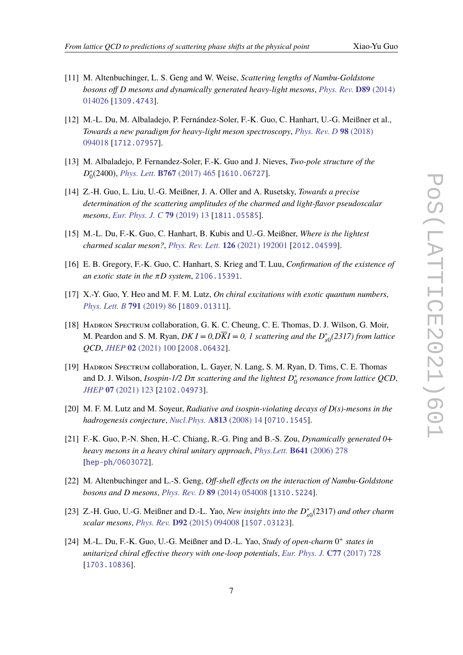- 
- [11] M. Altenbuchinger, L. S. Geng and W. Weise, *Scattering lengths of Nambu-Goldstone bosons off D mesons and dynamically generated heavy-light mesons*, *[Phys. Rev.](https://doi.org/10.1103/PhysRevD.89.014026)* **D89** (2014) [014026](https://doi.org/10.1103/PhysRevD.89.014026) [[1309.4743](https://arxiv.org/abs/1309.4743)].
- [12] M.-L. Du, M. Albaladejo, P. Fernández-Soler, F.-K. Guo, C. Hanhart, U.-G. Meißner et al., *Towards a new paradigm for heavy-light meson spectroscopy*, *[Phys. Rev. D](https://doi.org/10.1103/PhysRevD.98.094018)* **98** (2018) [094018](https://doi.org/10.1103/PhysRevD.98.094018) [[1712.07957](https://arxiv.org/abs/1712.07957)].
- [13] M. Albaladejo, P. Fernandez-Soler, F.-K. Guo and J. Nieves, *Two-pole structure of the D* ∗ 0 (2400), *Phys. Lett.* **B767** [\(2017\) 465](https://doi.org/10.1016/j.physletb.2017.02.036) [[1610.06727](https://arxiv.org/abs/1610.06727)].
- [14] Z.-H. Guo, L. Liu, U.-G. Meißner, J. A. Oller and A. Rusetsky, *Towards a precise determination of the scattering amplitudes of the charmed and light-flavor pseudoscalar mesons*, *[Eur. Phys. J. C](https://doi.org/10.1140/epjc/s10052-018-6518-1)* **79** (2019) 13 [[1811.05585](https://arxiv.org/abs/1811.05585)].
- [15] M.-L. Du, F.-K. Guo, C. Hanhart, B. Kubis and U.-G. Meißner, *Where is the lightest charmed scalar meson?*, *[Phys. Rev. Lett.](https://doi.org/10.1103/PhysRevLett.126.192001)* **126** (2021) 192001 [[2012.04599](https://arxiv.org/abs/2012.04599)].
- <span id="page-6-0"></span>[16] E. B. Gregory, F.-K. Guo, C. Hanhart, S. Krieg and T. Luu, *Confirmation of the existence of an exotic state in the* π*D system*, [2106.15391](https://arxiv.org/abs/2106.15391).
- <span id="page-6-1"></span>[17] X.-Y. Guo, Y. Heo and M. F. M. Lutz, *On chiral excitations with exotic quantum numbers*, *[Phys. Lett. B](https://doi.org/10.1016/j.physletb.2019.02.022)* **791** (2019) 86 [[1809.01311](https://arxiv.org/abs/1809.01311)].
- <span id="page-6-2"></span>[18] Hadron Spectrum collaboration, G. K. C. Cheung, C. E. Thomas, D. J. Wilson, G. Moir, M. Peardon and S. M. Ryan,  $DKI = 0$ ,  $DKI = 0$ , 1 scattering and the  $D_{s0}^*(2317)$  from lattice *QCD*, *JHEP* **02** [\(2021\) 100](https://doi.org/10.1007/JHEP02(2021)100) [[2008.06432](https://arxiv.org/abs/2008.06432)].
- <span id="page-6-3"></span>[19] Hadron Spectrum collaboration, L. Gayer, N. Lang, S. M. Ryan, D. Tims, C. E. Thomas and D. J. Wilson, *Isospin-1/2 D*π *scattering and the lightest D* ∗ 0 *resonance from lattice QCD*, *JHEP* **07** [\(2021\) 123](https://doi.org/10.1007/JHEP07(2021)123) [[2102.04973](https://arxiv.org/abs/2102.04973)].
- <span id="page-6-4"></span>[20] M. F. M. Lutz and M. Soyeur, *Radiative and isospin-violating decays of D(s)-mesons in the hadrogenesis conjecture*, *[Nucl.Phys.](https://doi.org/10.1016/j.nuclphysa.2008.09.003)* **A813** (2008) 14 [[0710.1545](https://arxiv.org/abs/0710.1545)].
- [21] F.-K. Guo, P.-N. Shen, H.-C. Chiang, R.-G. Ping and B.-S. Zou, *Dynamically generated 0+ heavy mesons in a heavy chiral unitary approach*, *Phys.Lett.* **B641** [\(2006\) 278](https://doi.org/10.1016/j.physletb.2006.08.064) [[hep-ph/0603072](https://arxiv.org/abs/hep-ph/0603072)].
- [22] M. Altenbuchinger and L.-S. Geng, *Off-shell effects on the interaction of Nambu-Goldstone bosons and D mesons*, *Phys. Rev. D* **89** [\(2014\) 054008](https://doi.org/10.1103/PhysRevD.89.054008) [[1310.5224](https://arxiv.org/abs/1310.5224)].
- [23]  $Z.H. Guo, U.-G. Meibner and D.-L. Yao, *New insights into the*  $D_{s0}^*(2317)$  *and other charm*$ *scalar mesons*, *Phys. Rev.* **D92** [\(2015\) 094008](https://doi.org/10.1103/PhysRevD.92.094008) [[1507.03123](https://arxiv.org/abs/1507.03123)].
- [24] M.-L. Du, F.-K. Guo, U.-G. Meißner and D.-L. Yao, *Study of open-charm* 0<sup>+</sup> states in *unitarized chiral effective theory with one-loop potentials*, *[Eur. Phys. J.](https://doi.org/10.1140/epjc/s10052-017-5287-6)* **C77** (2017) 728 [[1703.10836](https://arxiv.org/abs/1703.10836)].